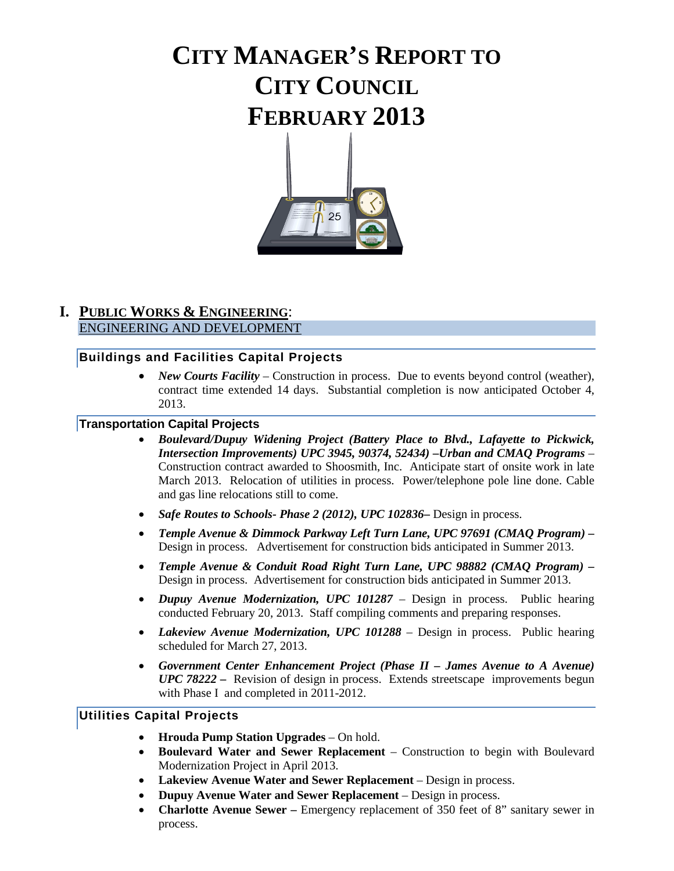# **CITY MANAGER'S REPORT TO CITY COUNCIL FEBRUARY 2013**



### **I. PUBLIC WORKS & ENGINEERING**: ENGINEERING AND DEVELOPMENT

### **Buildings and Facilities Capital Projects**

• *New Courts Facility* – Construction in process. Due to events beyond control (weather), contract time extended 14 days. Substantial completion is now anticipated October 4, 2013.

#### **Transportation Capital Projects**

- *Boulevard/Dupuy Widening Project (Battery Place to Blvd., Lafayette to Pickwick, Intersection Improvements) UPC 3945, 90374, 52434) –Urban and CMAQ Programs* – Construction contract awarded to Shoosmith, Inc. Anticipate start of onsite work in late March 2013. Relocation of utilities in process. Power/telephone pole line done. Cable and gas line relocations still to come.
- *Safe Routes to Schools- Phase 2 (2012), UPC 102836***–** Design in process.
- *Temple Avenue & Dimmock Parkway Left Turn Lane, UPC 97691 (CMAQ Program) –* Design in process. Advertisement for construction bids anticipated in Summer 2013.
- *Temple Avenue & Conduit Road Right Turn Lane, UPC 98882 (CMAQ Program) –* Design in process. Advertisement for construction bids anticipated in Summer 2013.
- *Dupuy Avenue Modernization, UPC 101287*  Design in process. Public hearing conducted February 20, 2013. Staff compiling comments and preparing responses.
- *Lakeview Avenue Modernization, UPC 101288* Design in process. Public hearing scheduled for March 27, 2013.
- *Government Center Enhancement Project (Phase II – James Avenue to A Avenue) UPC 78222 –* Revision of design in process. Extends streetscape improvements begun with Phase I and completed in 2011-2012.

### **Utilities Capital Projects**

- **Hrouda Pump Station Upgrades**  On hold.
- **Boulevard Water and Sewer Replacement**  Construction to begin with Boulevard Modernization Project in April 2013.
- Lakeview Avenue Water and Sewer Replacement Design in process.
- **Dupuy Avenue Water and Sewer Replacement**  Design in process.
- **Charlotte Avenue Sewer –** Emergency replacement of 350 feet of 8" sanitary sewer in process.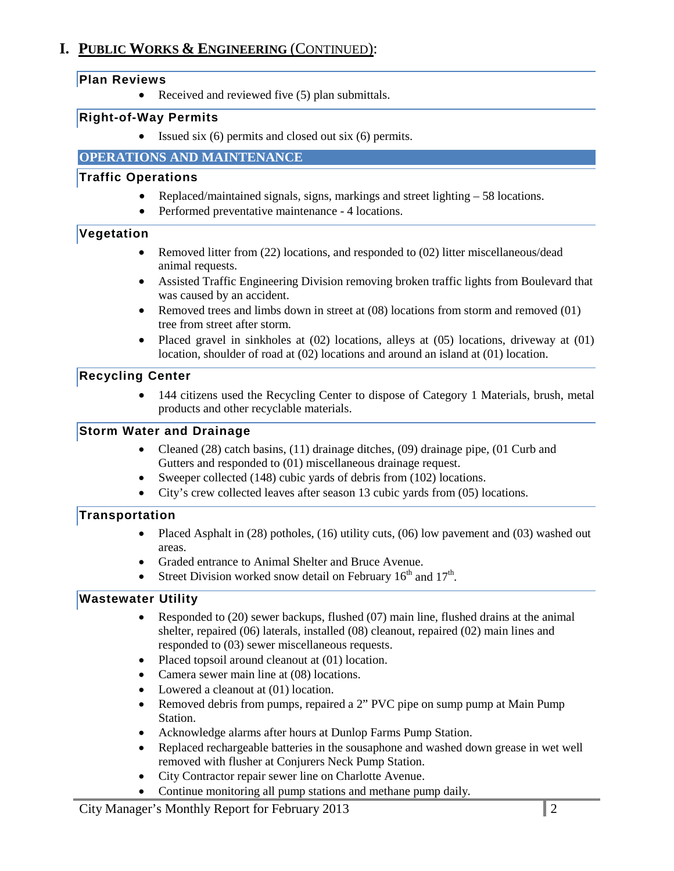# **I. PUBLIC WORKS & ENGINEERING** (CONTINUED):

### **Plan Reviews**

• Received and reviewed five (5) plan submittals.

### **Right-of-Way Permits**

• Issued six (6) permits and closed out six (6) permits.

### **OPERATIONS AND MAINTENANCE**

### **Traffic Operations**

- Replaced/maintained signals, signs, markings and street lighting 58 locations.
- Performed preventative maintenance 4 locations.

### **Vegetation**

- Removed litter from (22) locations, and responded to (02) litter miscellaneous/dead animal requests.
- Assisted Traffic Engineering Division removing broken traffic lights from Boulevard that was caused by an accident.
- Removed trees and limbs down in street at (08) locations from storm and removed (01) tree from street after storm.
- Placed gravel in sinkholes at (02) locations, alleys at (05) locations, driveway at (01) location, shoulder of road at (02) locations and around an island at (01) location.

# **Recycling Center**

• 144 citizens used the Recycling Center to dispose of Category 1 Materials, brush, metal products and other recyclable materials.

### **Storm Water and Drainage**

- Cleaned (28) catch basins, (11) drainage ditches, (09) drainage pipe, (01 Curb and Gutters and responded to (01) miscellaneous drainage request.
- Sweeper collected (148) cubic yards of debris from (102) locations.
- City's crew collected leaves after season 13 cubic yards from (05) locations.

### **Transportation**

- Placed Asphalt in (28) potholes, (16) utility cuts, (06) low pavement and (03) washed out areas.
- Graded entrance to Animal Shelter and Bruce Avenue.
- Street Division worked snow detail on February  $16<sup>th</sup>$  and  $17<sup>th</sup>$ .

# **Wastewater Utility**

- Responded to (20) sewer backups, flushed (07) main line, flushed drains at the animal shelter, repaired (06) laterals, installed (08) cleanout, repaired (02) main lines and responded to (03) sewer miscellaneous requests.
- Placed topsoil around cleanout at (01) location.
- Camera sewer main line at (08) locations.
- Lowered a cleanout at (01) location.
- Removed debris from pumps, repaired a 2" PVC pipe on sump pump at Main Pump Station.
- Acknowledge alarms after hours at Dunlop Farms Pump Station.
- Replaced rechargeable batteries in the sousaphone and washed down grease in wet well removed with flusher at Conjurers Neck Pump Station.
- City Contractor repair sewer line on Charlotte Avenue.
- Continue monitoring all pump stations and methane pump daily*.*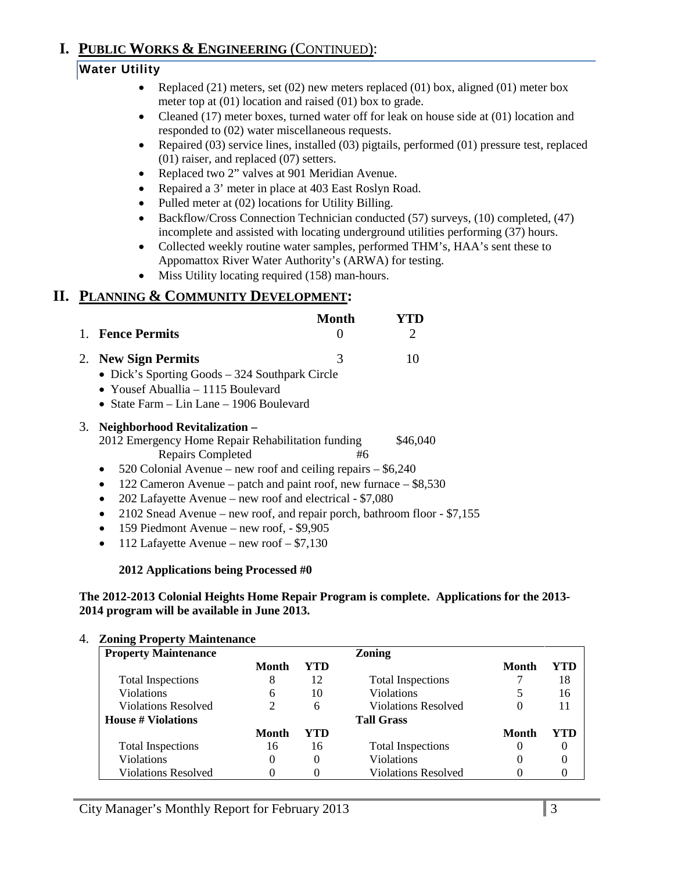# **I. PUBLIC WORKS & ENGINEERING** (CONTINUED):

# **Water Utility**

- Replaced  $(21)$  meters, set  $(02)$  new meters replaced  $(01)$  box, aligned  $(01)$  meter box meter top at (01) location and raised (01) box to grade.
- Cleaned (17) meter boxes, turned water off for leak on house side at (01) location and responded to (02) water miscellaneous requests.
- Repaired (03) service lines, installed (03) pigtails, performed (01) pressure test, replaced (01) raiser, and replaced (07) setters.
- Replaced two 2" valves at 901 Meridian Avenue.
- Repaired a 3' meter in place at 403 East Roslyn Road.
- Pulled meter at (02) locations for Utility Billing.
- Backflow/Cross Connection Technician conducted (57) surveys, (10) completed, (47) incomplete and assisted with locating underground utilities performing (37) hours.
- Collected weekly routine water samples, performed THM's, HAA's sent these to Appomattox River Water Authority's (ARWA) for testing.
- Miss Utility locating required (158) man-hours.

# **II. PLANNING & COMMUNITY DEVELOPMENT:**

|    | <b>Fence Permits</b>                                                                                                                                                                                                                                                                                                                                                                                                                                  | Month | $\mathcal{D}_{\mathcal{L}}$ |
|----|-------------------------------------------------------------------------------------------------------------------------------------------------------------------------------------------------------------------------------------------------------------------------------------------------------------------------------------------------------------------------------------------------------------------------------------------------------|-------|-----------------------------|
|    | 2. New Sign Permits<br>• Dick's Sporting Goods – 324 Southpark Circle<br>• Yousef Abuallia – 1115 Boulevard<br>• State Farm $-$ Lin Lane $-$ 1906 Boulevard                                                                                                                                                                                                                                                                                           | 3     | 10                          |
| 3. | Neighborhood Revitalization-<br>2012 Emergency Home Repair Rehabilitation funding<br><b>Repairs Completed</b><br>520 Colonial Avenue – new roof and ceiling repairs $-$ \$6,240<br>122 Cameron Avenue – patch and paint roof, new furnace – \$8,530<br>$\bullet$<br>202 Lafayette Avenue – new roof and electrical - \$7,080<br>2102 Snead Avenue – new roof, and repair porch, bathroom floor - \$7,155<br>159 Piedmont Avenue – new roof, - \$9,905 | #6    | \$46,040                    |

• 112 Lafayette Avenue – new roof  $- $7,130$ 

#### **2012 Applications being Processed #0**

#### **The 2012-2013 Colonial Heights Home Repair Program is complete. Applications for the 2013- 2014 program will be available in June 2013.**

#### 4. **Zoning Property Maintenance**

| $\overline{ }$<br><b>Property Maintenance</b> |              |     | <b>Zoning</b>              |              |     |
|-----------------------------------------------|--------------|-----|----------------------------|--------------|-----|
|                                               | <b>Month</b> | YTD |                            | <b>Month</b> | YTD |
| <b>Total Inspections</b>                      | 8            | 12  | <b>Total Inspections</b>   |              | 18  |
| Violations                                    | 6            | 10  | <b>Violations</b>          |              | 16  |
| Violations Resolved                           |              | 6   | <b>Violations Resolved</b> |              | 11  |
| <b>House # Violations</b>                     |              |     | <b>Tall Grass</b>          |              |     |
|                                               | Month        | YTD |                            | <b>Month</b> | YTD |
| <b>Total Inspections</b>                      | 16           | 16  | <b>Total Inspections</b>   |              |     |
| Violations                                    | 0            |     | <b>Violations</b>          |              |     |
| <b>Violations Resolved</b>                    |              |     | <b>Violations Resolved</b> |              |     |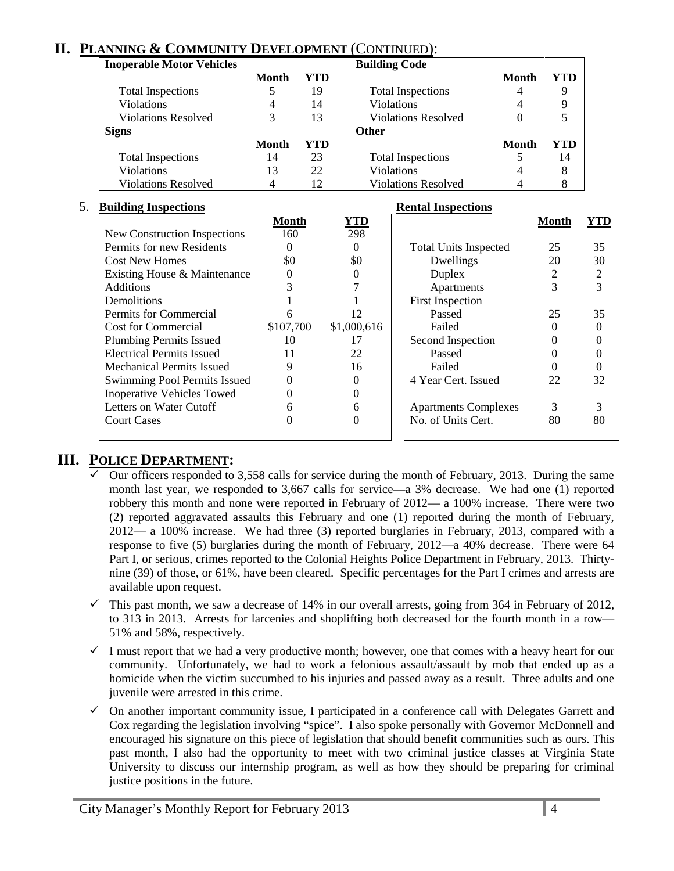# **II. PLANNING & COMMUNITY DEVELOPMENT** (CONTINUED):

| <b>Inoperable Motor Vehicles</b> |       |     | <b>Building Code</b>       |              |     |
|----------------------------------|-------|-----|----------------------------|--------------|-----|
|                                  | Month | YTD |                            | <b>Month</b> | YTD |
| <b>Total Inspections</b>         |       | 19  | <b>Total Inspections</b>   | 4            | 9   |
| <b>Violations</b>                | 4     | 14  | Violations                 |              | 9   |
| Violations Resolved              | 3     | 13  | <b>Violations Resolved</b> | $\theta$     |     |
| <b>Signs</b>                     |       |     | <b>Other</b>               |              |     |
|                                  | Month | YTD |                            | Month        | YTD |
| <b>Total Inspections</b>         | 14    | 23  | <b>Total Inspections</b>   |              | 14  |
| <b>Violations</b>                | 13    | 22  | <b>Violations</b>          | 4            | 8   |
| <b>Violations Resolved</b>       | 4     | 12  | <b>Violations Resolved</b> |              |     |

#### 5. **Building Inspections Rental Inspections**

| <b>DUNGHILE INSPECTIONS</b>       |           |             | Rental Hispections           |              |                |
|-----------------------------------|-----------|-------------|------------------------------|--------------|----------------|
|                                   | Month     | <u>YTD</u>  |                              | <b>Month</b> | YTD            |
| New Construction Inspections      | 160       | 298         |                              |              |                |
| Permits for new Residents         |           | $\Omega$    | <b>Total Units Inspected</b> | 25           | 35             |
| <b>Cost New Homes</b>             | \$0       | \$0         | Dwellings                    | 20           | 30             |
| Existing House & Maintenance      | $\theta$  |             | Duplex                       | 2            | $\overline{2}$ |
| <b>Additions</b>                  |           |             | Apartments                   | 3            | 3              |
| Demolitions                       |           |             | <b>First Inspection</b>      |              |                |
| Permits for Commercial            |           | 12          | Passed                       | 25           | 35             |
| <b>Cost for Commercial</b>        | \$107,700 | \$1,000,616 | Failed                       |              |                |
| <b>Plumbing Permits Issued</b>    | 10        | 17          | Second Inspection            |              |                |
| <b>Electrical Permits Issued</b>  | 11        | 22          | Passed                       |              |                |
| <b>Mechanical Permits Issued</b>  | 9         | 16          | Failed                       |              |                |
| Swimming Pool Permits Issued      |           |             | 4 Year Cert. Issued          | 22           | 32             |
| <b>Inoperative Vehicles Towed</b> |           |             |                              |              |                |
| Letters on Water Cutoff           |           | 6           | <b>Apartments Complexes</b>  | 3            | 3              |
| <b>Court Cases</b>                |           |             | No. of Units Cert.           | 80           | 80             |
|                                   |           |             |                              |              |                |

# **III. POLICE DEPARTMENT:**

- Our officers responded to 3,558 calls for service during the month of February, 2013. During the same month last year, we responded to 3,667 calls for service—a 3% decrease. We had one (1) reported robbery this month and none were reported in February of 2012— a 100% increase. There were two (2) reported aggravated assaults this February and one (1) reported during the month of February, 2012— a 100% increase. We had three (3) reported burglaries in February, 2013, compared with a response to five (5) burglaries during the month of February, 2012—a 40% decrease. There were 64 Part I, or serious, crimes reported to the Colonial Heights Police Department in February, 2013. Thirtynine (39) of those, or 61%, have been cleared. Specific percentages for the Part I crimes and arrests are available upon request.
- $\checkmark$  This past month, we saw a decrease of 14% in our overall arrests, going from 364 in February of 2012, to 313 in 2013. Arrests for larcenies and shoplifting both decreased for the fourth month in a row— 51% and 58%, respectively.
- $\checkmark$  I must report that we had a very productive month; however, one that comes with a heavy heart for our community. Unfortunately, we had to work a felonious assault/assault by mob that ended up as a homicide when the victim succumbed to his injuries and passed away as a result. Three adults and one juvenile were arrested in this crime.
- $\checkmark$  On another important community issue, I participated in a conference call with Delegates Garrett and Cox regarding the legislation involving "spice". I also spoke personally with Governor McDonnell and encouraged his signature on this piece of legislation that should benefit communities such as ours. This past month, I also had the opportunity to meet with two criminal justice classes at Virginia State University to discuss our internship program, as well as how they should be preparing for criminal justice positions in the future.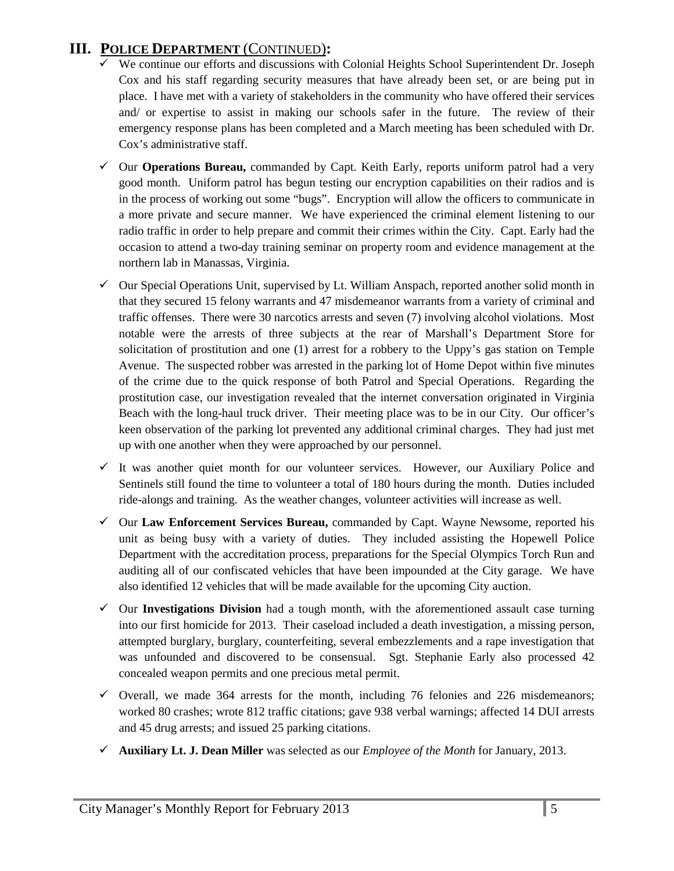# **III. POLICE DEPARTMENT** (CONTINUED)**:**

- $\checkmark$  We continue our efforts and discussions with Colonial Heights School Superintendent Dr. Joseph Cox and his staff regarding security measures that have already been set, or are being put in place. I have met with a variety of stakeholders in the community who have offered their services and/ or expertise to assist in making our schools safer in the future. The review of their emergency response plans has been completed and a March meeting has been scheduled with Dr. Cox's administrative staff.
- Our **Operations Bureau,** commanded by Capt. Keith Early, reports uniform patrol had a very good month. Uniform patrol has begun testing our encryption capabilities on their radios and is in the process of working out some "bugs". Encryption will allow the officers to communicate in a more private and secure manner. We have experienced the criminal element listening to our radio traffic in order to help prepare and commit their crimes within the City. Capt. Early had the occasion to attend a two-day training seminar on property room and evidence management at the northern lab in Manassas, Virginia.
- $\checkmark$  Our Special Operations Unit, supervised by Lt. William Anspach, reported another solid month in that they secured 15 felony warrants and 47 misdemeanor warrants from a variety of criminal and traffic offenses. There were 30 narcotics arrests and seven (7) involving alcohol violations. Most notable were the arrests of three subjects at the rear of Marshall's Department Store for solicitation of prostitution and one (1) arrest for a robbery to the Uppy's gas station on Temple Avenue. The suspected robber was arrested in the parking lot of Home Depot within five minutes of the crime due to the quick response of both Patrol and Special Operations. Regarding the prostitution case, our investigation revealed that the internet conversation originated in Virginia Beach with the long-haul truck driver. Their meeting place was to be in our City. Our officer's keen observation of the parking lot prevented any additional criminal charges. They had just met up with one another when they were approached by our personnel.
- $\checkmark$  It was another quiet month for our volunteer services. However, our Auxiliary Police and Sentinels still found the time to volunteer a total of 180 hours during the month. Duties included ride-alongs and training. As the weather changes, volunteer activities will increase as well.
- Our **Law Enforcement Services Bureau,** commanded by Capt. Wayne Newsome, reported his unit as being busy with a variety of duties. They included assisting the Hopewell Police Department with the accreditation process, preparations for the Special Olympics Torch Run and auditing all of our confiscated vehicles that have been impounded at the City garage. We have also identified 12 vehicles that will be made available for the upcoming City auction.
- $\checkmark$  Our **Investigations Division** had a tough month, with the aforementioned assault case turning into our first homicide for 2013. Their caseload included a death investigation, a missing person, attempted burglary, burglary, counterfeiting, several embezzlements and a rape investigation that was unfounded and discovered to be consensual. Sgt. Stephanie Early also processed 42 concealed weapon permits and one precious metal permit.
- $\checkmark$  Overall, we made 364 arrests for the month, including 76 felonies and 226 misdemeanors; worked 80 crashes; wrote 812 traffic citations; gave 938 verbal warnings; affected 14 DUI arrests and 45 drug arrests; and issued 25 parking citations.
- **Auxiliary Lt. J. Dean Miller** was selected as our *Employee of the Month* for January, 2013.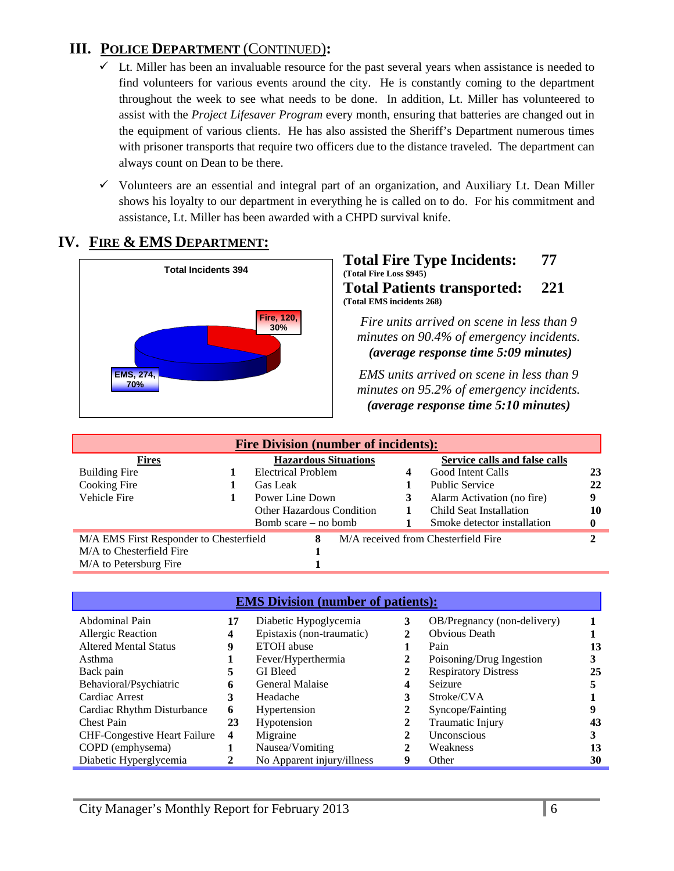# **III. POLICE DEPARTMENT** (CONTINUED)**:**

- $\checkmark$  Lt. Miller has been an invaluable resource for the past several years when assistance is needed to find volunteers for various events around the city. He is constantly coming to the department throughout the week to see what needs to be done. In addition, Lt. Miller has volunteered to assist with the *Project Lifesaver Program* every month, ensuring that batteries are changed out in the equipment of various clients. He has also assisted the Sheriff's Department numerous times with prisoner transports that require two officers due to the distance traveled. The department can always count on Dean to be there.
- $\checkmark$  Volunteers are an essential and integral part of an organization, and Auxiliary Lt. Dean Miller shows his loyalty to our department in everything he is called on to do. For his commitment and assistance, Lt. Miller has been awarded with a CHPD survival knife.

# **IV. FIRE & EMS DEPARTMENT:**



#### **Total Fire Type Incidents: 77 (Total Fire Loss \$945) Total Patients transported: 221 (Total EMS incidents 268)**

*Fire units arrived on scene in less than 9 minutes on 90.4% of emergency incidents. (average response time 5:09 minutes)* 

*EMS units arrived on scene in less than 9 minutes on 95.2% of emergency incidents. <sup>U</sup>(average response time 5:10 minutes)*

| <b>Fire Division (number of incidents):</b>  |  |                                  |  |                                     |                               |    |
|----------------------------------------------|--|----------------------------------|--|-------------------------------------|-------------------------------|----|
| <b>Fires</b>                                 |  | <b>Hazardous Situations</b>      |  |                                     | Service calls and false calls |    |
| <b>Building Fire</b>                         |  | <b>Electrical Problem</b>        |  |                                     | Good Intent Calls             | 23 |
| Cooking Fire                                 |  | Gas Leak                         |  |                                     | <b>Public Service</b>         | 22 |
| Vehicle Fire                                 |  | Power Line Down                  |  |                                     | Alarm Activation (no fire)    | 9  |
|                                              |  | <b>Other Hazardous Condition</b> |  |                                     | Child Seat Installation       | 10 |
|                                              |  | Bomb scare – no bomb             |  |                                     | Smoke detector installation   |    |
| M/A EMS First Responder to Chesterfield<br>8 |  |                                  |  | M/A received from Chesterfield Fire |                               |    |
| M/A to Chesterfield Fire                     |  |                                  |  |                                     |                               |    |
| M/A to Petersburg Fire                       |  |                                  |  |                                     |                               |    |

| <b>EMS Division (number of patients):</b> |                         |                            |   |                             |    |
|-------------------------------------------|-------------------------|----------------------------|---|-----------------------------|----|
| Abdominal Pain                            | 17                      | Diabetic Hypoglycemia      | 3 | OB/Pregnancy (non-delivery) |    |
| Allergic Reaction                         | 4                       | Epistaxis (non-traumatic)  |   | <b>Obvious Death</b>        |    |
| <b>Altered Mental Status</b>              | 9                       | <b>ETOH</b> abuse          |   | Pain                        | 13 |
| Asthma                                    |                         | Fever/Hyperthermia         |   | Poisoning/Drug Ingestion    |    |
| Back pain                                 | 5.                      | <b>GI</b> Bleed            |   | <b>Respiratory Distress</b> | 25 |
| Behavioral/Psychiatric                    | 6                       | General Malaise            | 4 | Seizure                     |    |
| Cardiac Arrest                            | 3                       | Headache                   | 3 | Stroke/CVA                  |    |
| Cardiac Rhythm Disturbance                | 6                       | Hypertension               |   | Syncope/Fainting            | 9  |
| <b>Chest Pain</b>                         | 23                      | Hypotension                |   | Traumatic Injury            | 43 |
| <b>CHF-Congestive Heart Failure</b>       | $\overline{\mathbf{4}}$ | Migraine                   |   | Unconscious                 |    |
| COPD (emphysema)                          |                         | Nausea/Vomiting            | 2 | Weakness                    | 13 |
| Diabetic Hyperglycemia                    |                         | No Apparent injury/illness | 9 | Other                       | 30 |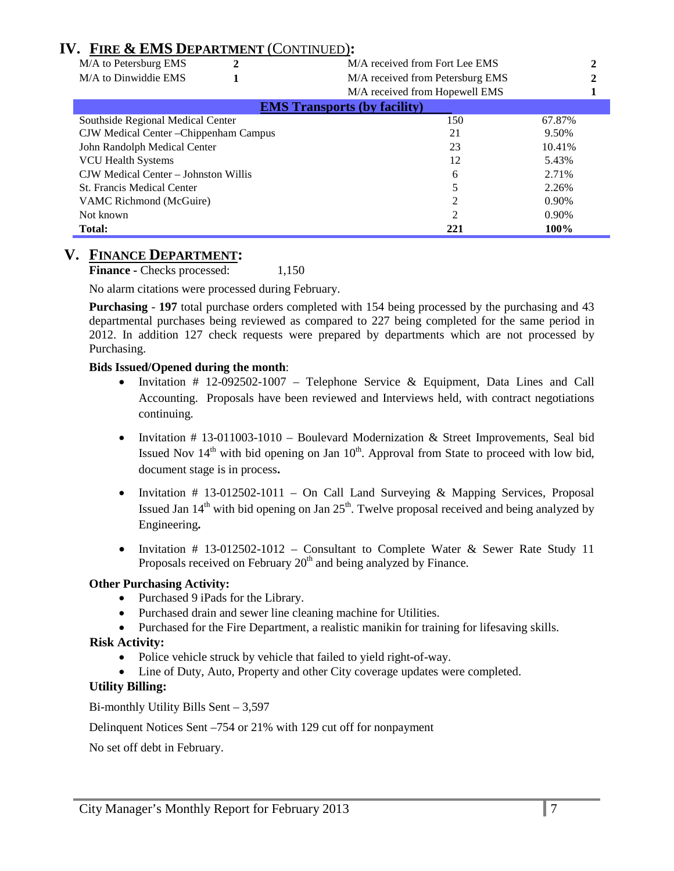# **IV. FIRE & EMS DEPARTMENT** (CONTINUED)**:**

| M/A to Petersburg EMS                  | M/A received from Fort Lee EMS      |        |  |
|----------------------------------------|-------------------------------------|--------|--|
| M/A to Dinwiddie EMS                   | M/A received from Petersburg EMS    |        |  |
|                                        | M/A received from Hopewell EMS      |        |  |
|                                        | <b>EMS Transports (by facility)</b> |        |  |
| Southside Regional Medical Center      | 150                                 | 67.87% |  |
| CJW Medical Center - Chippenham Campus | 21                                  | 9.50%  |  |
| John Randolph Medical Center           | 23                                  | 10.41% |  |
| <b>VCU Health Systems</b>              | 12                                  | 5.43%  |  |
| CJW Medical Center – Johnston Willis   | 6                                   | 2.71%  |  |
| <b>St. Francis Medical Center</b>      |                                     | 2.26%  |  |
| VAMC Richmond (McGuire)                |                                     | 0.90%  |  |
| Not known                              | $\overline{2}$                      | 0.90%  |  |
| Total:                                 | 221                                 | 100%   |  |

#### **V. FINANCE DEPARTMENT:**

**Finance -** Checks processed: 1,150

No alarm citations were processed during February.

**Purchasing** - **197** total purchase orders completed with 154 being processed by the purchasing and 43 departmental purchases being reviewed as compared to 227 being completed for the same period in 2012. In addition 127 check requests were prepared by departments which are not processed by Purchasing.

#### **Bids Issued/Opened during the month**:

- Invitation # 12-092502-1007 Telephone Service & Equipment, Data Lines and Call Accounting. Proposals have been reviewed and Interviews held, with contract negotiations continuing.
- Invitation  $\#$  13-011003-1010 Boulevard Modernization & Street Improvements, Seal bid Issued Nov  $14<sup>th</sup>$  with bid opening on Jan  $10<sup>th</sup>$ . Approval from State to proceed with low bid, document stage is in process**.**
- Invitation # 13-012502-1011 On Call Land Surveying & Mapping Services, Proposal Issued Jan  $14<sup>th</sup>$  with bid opening on Jan  $25<sup>th</sup>$ . Twelve proposal received and being analyzed by Engineering**.**
- Invitation  $\#$  13-012502-1012 Consultant to Complete Water & Sewer Rate Study 11 Proposals received on February  $20<sup>th</sup>$  and being analyzed by Finance.

#### **Other Purchasing Activity:**

- Purchased 9 iPads for the Library.
- Purchased drain and sewer line cleaning machine for Utilities.
- Purchased for the Fire Department, a realistic manikin for training for lifesaving skills.

#### **Risk Activity:**

- Police vehicle struck by vehicle that failed to yield right-of-way.
- Line of Duty, Auto, Property and other City coverage updates were completed.

#### **Utility Billing:**

Bi-monthly Utility Bills Sent – 3,597

Delinquent Notices Sent –754 or 21% with 129 cut off for nonpayment

No set off debt in February.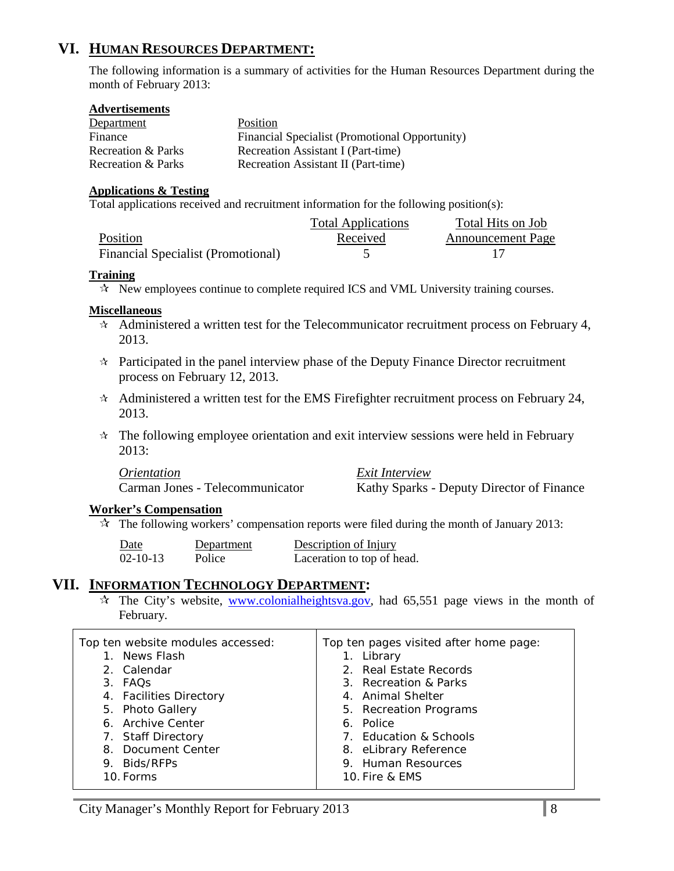# **VI. HUMAN RESOURCES DEPARTMENT:**

The following information is a summary of activities for the Human Resources Department during the month of February 2013:

#### **Advertisements**

| Department         | Position                                       |
|--------------------|------------------------------------------------|
| Finance            | Financial Specialist (Promotional Opportunity) |
| Recreation & Parks | Recreation Assistant I (Part-time)             |
| Recreation & Parks | Recreation Assistant II (Part-time)            |

#### **Applications & Testing**

Total applications received and recruitment information for the following position(s):

|                                    | <b>Total Applications</b> | Total Hits on Job        |
|------------------------------------|---------------------------|--------------------------|
| Position                           | Received                  | <b>Announcement Page</b> |
| Financial Specialist (Promotional) |                           |                          |

#### **Training**

 $\star$  New employees continue to complete required ICS and VML University training courses.

#### **Miscellaneous**

- $\star$  Administered a written test for the Telecommunicator recruitment process on February 4, 2013.
- $\star$  Participated in the panel interview phase of the Deputy Finance Director recruitment process on February 12, 2013.
- $\star$  Administered a written test for the EMS Firefighter recruitment process on February 24, 2013.
- $\star$  The following employee orientation and exit interview sessions were held in February 2013:

*Orientation Exit Interview* Carman Jones - Telecommunicator Kathy Sparks - Deputy Director of Finance

#### **Worker's Compensation**

 $\mathcal{R}$  The following workers' compensation reports were filed during the month of January 2013:

| Date           | Department | Description of Injury      |
|----------------|------------|----------------------------|
| $02 - 10 - 13$ | Police     | Laceration to top of head. |

### **VII. INFORMATION TECHNOLOGY DEPARTMENT:**

 $\hat{x}$  The City's website, [www.colonialheightsva.gov,](http://www.colonialheightsva.gov/) had 65,551 page views in the month of February.

| Top ten website modules accessed:<br>1. News Flash<br>2. Calendar<br>3. FAQS<br>4. Facilities Directory<br>5. Photo Gallery<br>6. Archive Center<br>7. Staff Directory<br>8. Document Center | Top ten pages visited after home page:<br>1. Library<br>2. Real Estate Records<br>3. Recreation & Parks<br>4. Animal Shelter<br>5. Recreation Programs<br>6. Police<br>7. Education & Schools |
|----------------------------------------------------------------------------------------------------------------------------------------------------------------------------------------------|-----------------------------------------------------------------------------------------------------------------------------------------------------------------------------------------------|
| 9. Bids/RFPs<br>10. Forms                                                                                                                                                                    | 8. eLibrary Reference<br>9. Human Resources<br>10. Fire & EMS                                                                                                                                 |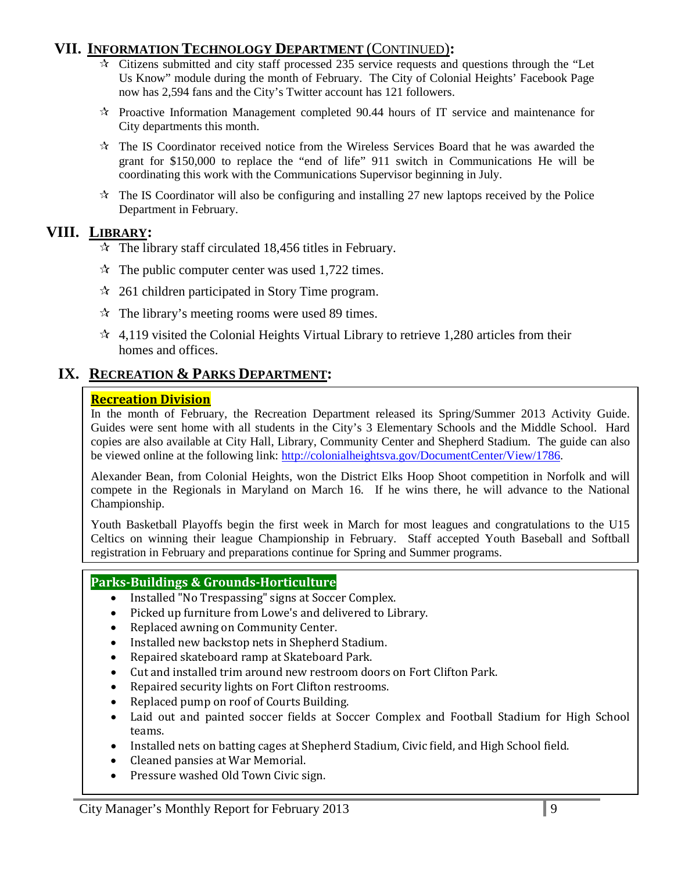# **VII. INFORMATION TECHNOLOGY DEPARTMENT** (CONTINUED)**:**

- $\star$  Citizens submitted and city staff processed 235 service requests and questions through the "Let Us Know" module during the month of February. The City of Colonial Heights' Facebook Page now has 2,594 fans and the City's Twitter account has 121 followers.
- $\star$  Proactive Information Management completed 90.44 hours of IT service and maintenance for City departments this month.
- $\star$  The IS Coordinator received notice from the Wireless Services Board that he was awarded the grant for \$150,000 to replace the "end of life" 911 switch in Communications He will be coordinating this work with the Communications Supervisor beginning in July.
- $\star$  The IS Coordinator will also be configuring and installing 27 new laptops received by the Police Department in February.

# **VIII. LIBRARY:**

- $\approx$  The library staff circulated 18,456 titles in February.
- $\approx$  The public computer center was used 1,722 times.
- $\approx$  261 children participated in Story Time program.
- $\hat{x}$  The library's meeting rooms were used 89 times.
- $\approx$  4,119 visited the Colonial Heights Virtual Library to retrieve 1,280 articles from their homes and offices.

# **IX. RECREATION & PARKS DEPARTMENT:**

#### **Recreation Division**

In the month of February, the Recreation Department released its Spring/Summer 2013 Activity Guide. Guides were sent home with all students in the City's 3 Elementary Schools and the Middle School. Hard copies are also available at City Hall, Library, Community Center and Shepherd Stadium. The guide can also be viewed online at the following link: [http://colonialheightsva.gov/DocumentCenter/View/1786.](http://colonialheightsva.gov/DocumentCenter/View/1786)

Alexander Bean, from Colonial Heights, won the District Elks Hoop Shoot competition in Norfolk and will compete in the Regionals in Maryland on March 16. If he wins there, he will advance to the National Championship.

Youth Basketball Playoffs begin the first week in March for most leagues and congratulations to the U15 Celtics on winning their league Championship in February. Staff accepted Youth Baseball and Softball registration in February and preparations continue for Spring and Summer programs.

### **Parks-Buildings & Grounds-Horticulture**

- Installed "No Trespassing" signs at Soccer Complex.
- Picked up furniture from Lowe's and delivered to Library.
- Replaced awning on Community Center.
- Installed new backstop nets in Shepherd Stadium.
- Repaired skateboard ramp at Skateboard Park.
- Cut and installed trim around new restroom doors on Fort Clifton Park.
- Repaired security lights on Fort Clifton restrooms.
- Replaced pump on roof of Courts Building.
- Laid out and painted soccer fields at Soccer Complex and Football Stadium for High School teams.
- Installed nets on batting cages at Shepherd Stadium, Civic field, and High School field.
- Cleaned pansies at War Memorial.
- Pressure washed Old Town Civic sign.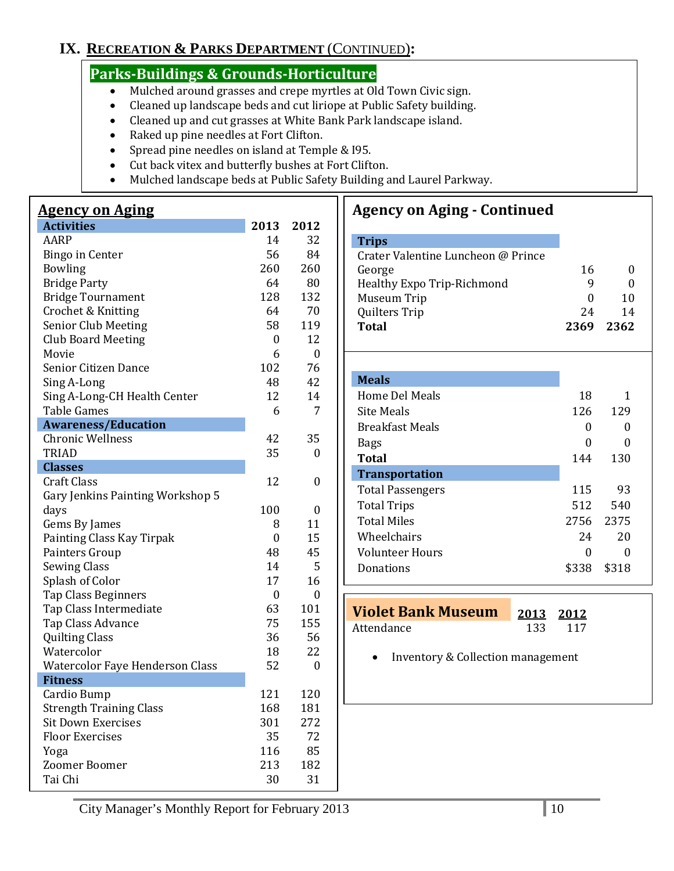# **IX. RECREATION & PARKS DEPARTMENT** (CONTINUED)**:**

# **Parks-Buildings & Grounds-Horticulture**

- Mulched around grasses and crepe myrtles at Old Town Civic sign.
- Cleaned up landscape beds and cut liriope at Public Safety building.
- Cleaned up and cut grasses at White Bank Park landscape island.
- Raked up pine needles at Fort Clifton.
- Spread pine needles on island at Temple & I95.
- Cut back vitex and butterfly bushes at Fort Clifton.
- Mulched landscape beds at Public Safety Building and Laurel Parkway.

# **Agency on Aging**

| 32<br>AARP<br>14<br>56<br>84<br><b>Bingo in Center</b><br><b>Bowling</b><br>260<br>260<br><b>Bridge Party</b><br>64<br>80 |                          |     |     |
|---------------------------------------------------------------------------------------------------------------------------|--------------------------|-----|-----|
|                                                                                                                           |                          |     |     |
|                                                                                                                           |                          |     |     |
|                                                                                                                           |                          |     |     |
|                                                                                                                           |                          |     |     |
|                                                                                                                           | <b>Bridge Tournament</b> | 128 | 132 |
| Crochet & Knitting<br>64<br>70                                                                                            |                          |     |     |
| Senior Club Meeting<br>58<br>119                                                                                          |                          |     |     |
| <b>Club Board Meeting</b><br>12<br>$\theta$                                                                               |                          |     |     |
| Movie<br>6<br>$\boldsymbol{0}$                                                                                            |                          |     |     |
| 102<br>76<br>Senior Citizen Dance                                                                                         |                          |     |     |
| Sing A-Long<br>48<br>42                                                                                                   |                          |     |     |
| Sing A-Long-CH Health Center<br>12<br>14                                                                                  |                          |     |     |
| <b>Table Games</b><br>6<br>7                                                                                              |                          |     |     |
| <b>Awareness/Education</b>                                                                                                |                          |     |     |
| <b>Chronic Wellness</b><br>42<br>35                                                                                       |                          |     |     |
| <b>TRIAD</b><br>35<br>0                                                                                                   |                          |     |     |
| <b>Classes</b>                                                                                                            |                          |     |     |
| <b>Craft Class</b><br>12<br>0                                                                                             |                          |     |     |
| Gary Jenkins Painting Workshop 5                                                                                          |                          |     |     |
| 100<br>days<br>0                                                                                                          |                          |     |     |
| 11<br>Gems By James<br>8                                                                                                  |                          |     |     |
| 15<br>Painting Class Kay Tirpak<br>$\boldsymbol{0}$                                                                       |                          |     |     |
| 45<br>Painters Group<br>48                                                                                                |                          |     |     |
| <b>Sewing Class</b><br>14<br>5                                                                                            |                          |     |     |
| Splash of Color<br>17<br>16                                                                                               |                          |     |     |
| Tap Class Beginners<br>$\boldsymbol{0}$<br>0                                                                              |                          |     |     |
| 63<br>Tap Class Intermediate<br>101                                                                                       |                          |     |     |
| 75<br>155<br>Tap Class Advance                                                                                            |                          |     |     |
| 36<br><b>Quilting Class</b><br>56                                                                                         |                          |     |     |
| Watercolor<br>18<br>22                                                                                                    |                          |     |     |
| 52<br><b>Watercolor Faye Henderson Class</b><br>0                                                                         |                          |     |     |
| <b>Fitness</b>                                                                                                            |                          |     |     |
| 121<br>Cardio Bump<br>120                                                                                                 |                          |     |     |
| <b>Strength Training Class</b><br>168<br>181                                                                              |                          |     |     |
| <b>Sit Down Exercises</b><br>301<br>272                                                                                   |                          |     |     |
| <b>Floor Exercises</b><br>35<br>72                                                                                        |                          |     |     |
| 85<br>116<br>Yoga                                                                                                         |                          |     |     |
| Zoomer Boomer<br>213<br>182                                                                                               |                          |     |     |
| Tai Chi<br>30<br>31                                                                                                       |                          |     |     |

# **Agency on Aging - Continued**

| <b>Trips</b>                       |           |       |
|------------------------------------|-----------|-------|
| Crater Valentine Luncheon @ Prince |           |       |
| George                             | 16        | 0     |
| <b>Healthy Expo Trip-Richmond</b>  | 9         | 0     |
| Museum Trip                        | 0         | 10    |
| Quilters Trip                      | 24        | 14    |
| Total                              | 2369      | 2362  |
|                                    |           |       |
|                                    |           |       |
| <b>Meals</b>                       |           |       |
| Home Del Meals                     | 18        | 1     |
| <b>Site Meals</b>                  | 126       | 129   |
| <b>Breakfast Meals</b>             | 0         | 0     |
| <b>Bags</b>                        | 0         | 0     |
| Total                              | 144       | 130   |
| <b>Transportation</b>              |           |       |
| <b>Total Passengers</b>            | 115       | 93    |
| <b>Total Trips</b>                 | 512       | 540   |
| <b>Total Miles</b>                 | 2756 2375 |       |
| Wheelchairs                        | 24        | 20    |
| <b>Volunteer Hours</b>             | 0         | 0     |
| Donations                          | \$338     | \$318 |

| Violet Bank Museum 2013 2012 |         |
|------------------------------|---------|
| Attendance                   | 133 117 |

• Inventory & Collection management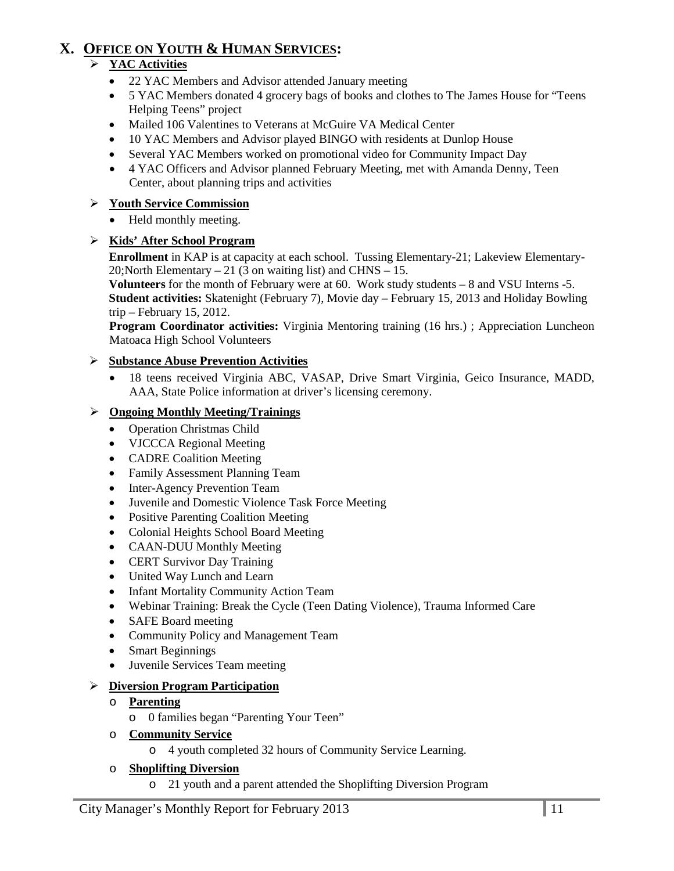# **X. OFFICE ON YOUTH & HUMAN SERVICES:**

# **YAC Activities**

- 22 YAC Members and Advisor attended January meeting
- 5 YAC Members donated 4 grocery bags of books and clothes to The James House for "Teens Helping Teens" project
- Mailed 106 Valentines to Veterans at McGuire VA Medical Center
- 10 YAC Members and Advisor played BINGO with residents at Dunlop House
- Several YAC Members worked on promotional video for Community Impact Day
- 4 YAC Officers and Advisor planned February Meeting, met with Amanda Denny, Teen Center, about planning trips and activities

### **Youth Service Commission**

• Held monthly meeting.

# **Kids' After School Program**

**Enrollment** in KAP is at capacity at each school. Tussing Elementary-21; Lakeview Elementary-20; North Elementary  $-21$  (3 on waiting list) and CHNS  $-15$ .

**Volunteers** for the month of February were at 60. Work study students – 8 and VSU Interns -5. **Student activities:** Skatenight (February 7), Movie day – February 15, 2013 and Holiday Bowling trip – February 15, 2012.

**Program Coordinator activities:** Virginia Mentoring training (16 hrs.) ; Appreciation Luncheon Matoaca High School Volunteers

### **Substance Abuse Prevention Activities**

• 18 teens received Virginia ABC, VASAP, Drive Smart Virginia, Geico Insurance, MADD, AAA, State Police information at driver's licensing ceremony.

### **Ongoing Monthly Meeting/Trainings**

- Operation Christmas Child
- VJCCCA Regional Meeting
- CADRE Coalition Meeting
- Family Assessment Planning Team
- Inter-Agency Prevention Team
- Juvenile and Domestic Violence Task Force Meeting
- Positive Parenting Coalition Meeting
- Colonial Heights School Board Meeting
- CAAN-DUU Monthly Meeting
- CERT Survivor Day Training
- United Way Lunch and Learn
- Infant Mortality Community Action Team
- Webinar Training: Break the Cycle (Teen Dating Violence), Trauma Informed Care
- SAFE Board meeting
- Community Policy and Management Team
- **Smart Beginnings**
- Juvenile Services Team meeting

# **Diversion Program Participation**

- o **Parenting**
	- o 0 families began "Parenting Your Teen"
- o **Community Service**
	- o 4 youth completed 32 hours of Community Service Learning.

### o **Shoplifting Diversion**

o 21 youth and a parent attended the Shoplifting Diversion Program